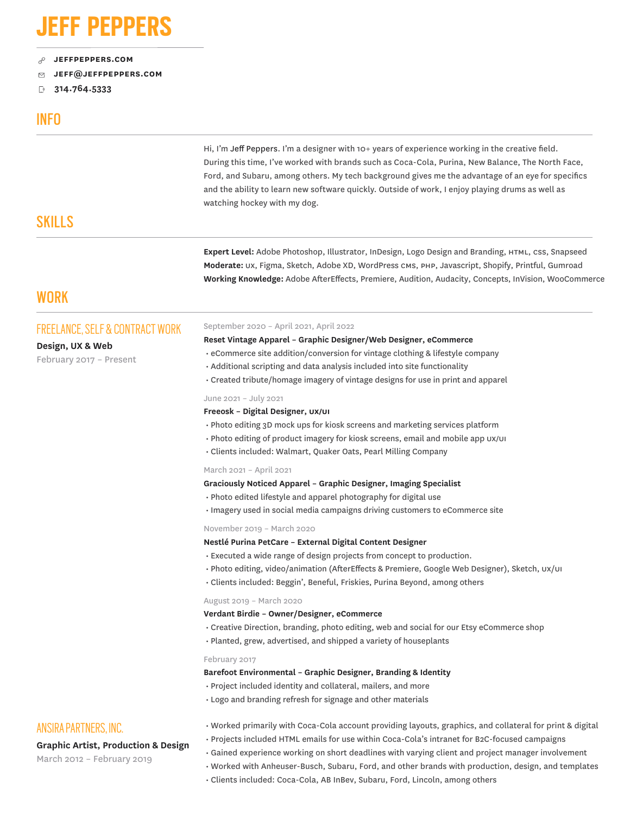# **JEFF PEPPERS**

- D **jeffpeppers.com**
- **jeff@jeffpeppers.com**  $\triangleright$
- **314.764.5333**

# INFO

Hi, I'm Jeff Peppers. I'm a designer with 10+ years of experience working in the creative field. During this time, I've worked with brands such as Coca-Cola, Purina, New Balance, The North Face, Ford, and Subaru, among others. My tech background gives me the advantage of an eye for specifics and the ability to learn new software quickly. Outside of work, I enjoy playing drums as well as watching hockey with my dog.

# SKILLS

Expert Level: Adobe Photoshop, Illustrator, InDesign, Logo Design and Branding, HTML, css, Snapseed **Moderate:** ux, Figma, Sketch, Adobe XD, WordPress cms, php, Javascript, Shopify, Printful, Gumroad **Working Knowledge:** Adobe AfterEffects, Premiere, Audition, Audacity, Concepts, InVision, WooCommerce

# WORK

# FREELANCE, SELF & CONTRACT WORK

# **Design, UX & Web**

February 2017 – Present

#### September 2020 – April 2021, April 2022

# **Reset Vintage Apparel – Graphic Designer/Web Designer, eCommerce**

- eCommerce site addition/conversion for vintage clothing & lifestyle company
- Additional scripting and data analysis included into site functionality
- Created tribute/homage imagery of vintage designs for use in print and apparel

### June 2021 – July 2021

# **Freeosk – Digital Designer, ux/ui**

- Photo editing 3D mock ups for kiosk screens and marketing services platform
- Photo editing of product imagery for kiosk screens, email and mobile app ux/ui
- Clients included: Walmart, Quaker Oats, Pearl Milling Company

# March 2021 – April 2021

### **Graciously Noticed Apparel – Graphic Designer, Imaging Specialist**

- Photo edited lifestyle and apparel photography for digital use
- Imagery used in social media campaigns driving customers to eCommerce site

November 2019 – March 2020

### **Nestlé Purina PetCare – External Digital Content Designer**

- Executed a wide range of design projects from concept to production.
- Photo editing, video/animation (AfterEffects & Premiere, Google Web Designer), Sketch, ux/ui
- Clients included: Beggin', Beneful, Friskies, Purina Beyond, among others

#### August 2019 – March 2020

## **Verdant Birdie – Owner/Designer, eCommerce**

- Creative Direction, branding, photo editing, web and social for our Etsy eCommerce shop
- Planted, grew, advertised, and shipped a variety of houseplants

#### February 2017

### **Barefoot Environmental – Graphic Designer, Branding & Identity**

- Project included identity and collateral, mailers, and more
- Logo and branding refresh for signage and other materials

# ANSIRA PARTNERS, INC.

# **Graphic Artist, Production & Design**

- March 2012 February 2019
- Worked primarily with Coca-Cola account providing layouts, graphics, and collateral for print & digital
- Projects included HTML emails for use within Coca-Cola's intranet for B2C-focused campaigns
- Gained experience working on short deadlines with varying client and project manager involvement
- Worked with Anheuser-Busch, Subaru, Ford, and other brands with production, design, and templates
- Clients included: Coca-Cola, AB InBev, Subaru, Ford, Lincoln, among others